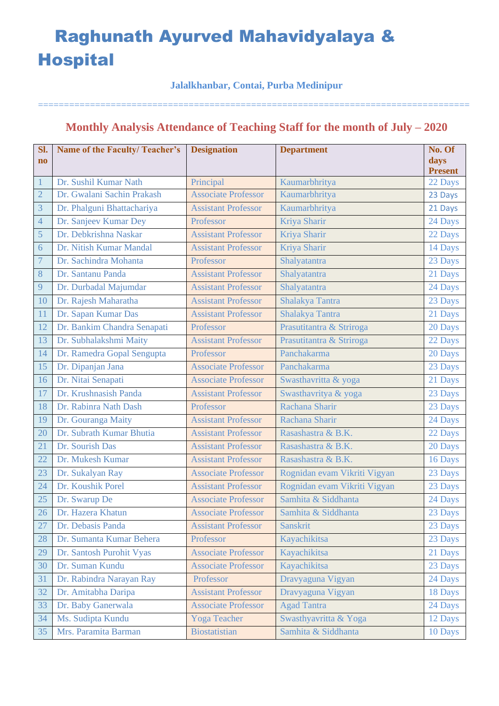### **Jalalkhanbar, Contai, Purba Medinipur**

===================================================================================

## **Monthly Analysis Attendance of Teaching Staff for the month of July – 2020**

| Sl.                    | <b>Name of the Faculty/Teacher's</b> | <b>Designation</b>         | <b>Department</b>            | No. Of                    |
|------------------------|--------------------------------------|----------------------------|------------------------------|---------------------------|
| $\mathbf{n}\mathbf{o}$ |                                      |                            |                              | days                      |
| $\mathbf{1}$           | Dr. Sushil Kumar Nath                | Principal                  | Kaumarbhritya                | <b>Present</b><br>22 Days |
| $\overline{2}$         | Dr. Gwalani Sachin Prakash           | <b>Associate Professor</b> | Kaumarbhritya                | 23 Days                   |
| 3                      | Dr. Phalguni Bhattachariya           | <b>Assistant Professor</b> | Kaumarbhritya                | 21 Days                   |
| $\overline{4}$         | Dr. Sanjeev Kumar Dey                | Professor                  | Kriya Sharir                 | 24 Days                   |
| 5                      | Dr. Debkrishna Naskar                | <b>Assistant Professor</b> | Kriya Sharir                 | 22 Days                   |
| 6                      | Dr. Nitish Kumar Mandal              | <b>Assistant Professor</b> | Kriya Sharir                 | 14 Days                   |
| $\overline{7}$         | Dr. Sachindra Mohanta                | Professor                  | Shalyatantra                 | 23 Days                   |
| 8                      | Dr. Santanu Panda                    | <b>Assistant Professor</b> | Shalyatantra                 | 21 Days                   |
| 9                      | Dr. Durbadal Majumdar                | <b>Assistant Professor</b> | Shalyatantra                 | 24 Days                   |
| 10                     | Dr. Rajesh Maharatha                 | <b>Assistant Professor</b> | Shalakya Tantra              | 23 Days                   |
| 11                     | Dr. Sapan Kumar Das                  | <b>Assistant Professor</b> | Shalakya Tantra              | 21 Days                   |
| 12                     | Dr. Bankim Chandra Senapati          | Professor                  | Prasutitantra & Striroga     | 20 Days                   |
| 13                     | Dr. Subhalakshmi Maity               | <b>Assistant Professor</b> | Prasutitantra & Striroga     | 22 Days                   |
| 14                     | Dr. Ramedra Gopal Sengupta           | Professor                  | Panchakarma                  | 20 Days                   |
| 15                     | Dr. Dipanjan Jana                    | <b>Associate Professor</b> | Panchakarma                  | 23 Days                   |
| 16                     | Dr. Nitai Senapati                   | <b>Associate Professor</b> | Swasthavritta & yoga         | 21 Days                   |
| 17                     | Dr. Krushnasish Panda                | <b>Assistant Professor</b> | Swasthavritya & yoga         | 23 Days                   |
| 18                     | Dr. Rabinra Nath Dash                | Professor                  | Rachana Sharir               | 23 Days                   |
| 19                     | Dr. Gouranga Maity                   | <b>Assistant Professor</b> | Rachana Sharir               | 24 Days                   |
| 20                     | Dr. Subrath Kumar Bhutia             | <b>Assistant Professor</b> | Rasashastra & B.K.           | 22 Days                   |
| 21                     | Dr. Sourish Das                      | <b>Assistant Professor</b> | Rasashastra & B.K.           | 20 Days                   |
| 22                     | Dr. Mukesh Kumar                     | <b>Assistant Professor</b> | Rasashastra & B.K.           | 16 Days                   |
| 23                     | Dr. Sukalyan Ray                     | <b>Associate Professor</b> | Rognidan evam Vikriti Vigyan | 23 Days                   |
| 24                     | Dr. Koushik Porel                    | <b>Assistant Professor</b> | Rognidan evam Vikriti Vigyan | 23 Days                   |
| 25                     | Dr. Swarup De                        | <b>Associate Professor</b> | Samhita & Siddhanta          | 24 Days                   |
| 26                     | Dr. Hazera Khatun                    | <b>Associate Professor</b> | Samhita & Siddhanta          | 23 Days                   |
| 27                     | Dr. Debasis Panda                    | <b>Assistant Professor</b> | <b>Sanskrit</b>              | 23 Days                   |
| 28                     | Dr. Sumanta Kumar Behera             | Professor                  | Kayachikitsa                 | 23 Days                   |
| 29                     | Dr. Santosh Purohit Vyas             | <b>Associate Professor</b> | Kayachikitsa                 | 21 Days                   |
| 30                     | Dr. Suman Kundu                      | <b>Associate Professor</b> | Kayachikitsa                 | 23 Days                   |
| 31                     | Dr. Rabindra Narayan Ray             | Professor                  | Dravyaguna Vigyan            | 24 Days                   |
| 32                     | Dr. Amitabha Daripa                  | <b>Assistant Professor</b> | Dravyaguna Vigyan            | 18 Days                   |
| 33                     | Dr. Baby Ganerwala                   | <b>Associate Professor</b> | <b>Agad Tantra</b>           | 24 Days                   |
| 34                     | Ms. Sudipta Kundu                    | Yoga Teacher               | Swasthyavritta & Yoga        | 12 Days                   |
| 35                     | Mrs. Paramita Barman                 | <b>Biostatistian</b>       | Samhita & Siddhanta          | 10 Days                   |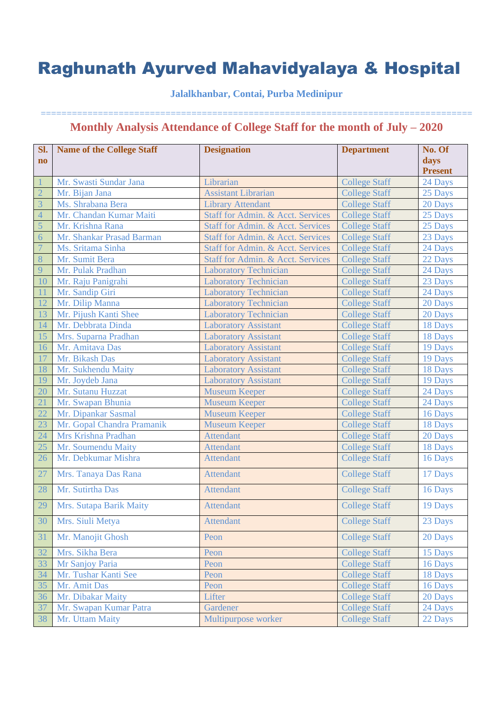### **Jalalkhanbar, Contai, Purba Medinipur**

| Sl.                    | <b>Name of the College Staff</b> | <b>Designation</b>                | <b>Department</b>    | No. Of         |
|------------------------|----------------------------------|-----------------------------------|----------------------|----------------|
| $\mathbf{n}\mathbf{o}$ |                                  |                                   |                      | days           |
|                        |                                  |                                   |                      | <b>Present</b> |
|                        | Mr. Swasti Sundar Jana           | Librarian                         | <b>College Staff</b> | 24 Days        |
| $\overline{2}$         | Mr. Bijan Jana                   | <b>Assistant Librarian</b>        | <b>College Staff</b> | 25 Days        |
| 3                      | Ms. Shrabana Bera                | <b>Library Attendant</b>          | <b>College Staff</b> | 20 Days        |
| $\overline{4}$         | Mr. Chandan Kumar Maiti          | Staff for Admin. & Acct. Services | <b>College Staff</b> | 25 Days        |
| $\overline{5}$         | Mr. Krishna Rana                 | Staff for Admin. & Acct. Services | <b>College Staff</b> | 25 Days        |
| 6                      | Mr. Shankar Prasad Barman        | Staff for Admin. & Acct. Services | <b>College Staff</b> | 23 Days        |
| $\overline{7}$         | Ms. Sritama Sinha                | Staff for Admin. & Acct. Services | <b>College Staff</b> | 24 Days        |
| 8                      | Mr. Sumit Bera                   | Staff for Admin. & Acct. Services | <b>College Staff</b> | 22 Days        |
| 9                      | Mr. Pulak Pradhan                | <b>Laboratory Technician</b>      | <b>College Staff</b> | 24 Days        |
| <sup>10</sup>          | Mr. Raju Panigrahi               | <b>Laboratory Technician</b>      | <b>College Staff</b> | 23 Days        |
|                        | Mr. Sandip Giri                  | <b>Laboratory Technician</b>      | <b>College Staff</b> | 24 Days        |
| 12                     | Mr. Dilip Manna                  | <b>Laboratory Technician</b>      | <b>College Staff</b> | 20 Days        |
| 13                     | Mr. Pijush Kanti Shee            | <b>Laboratory Technician</b>      | <b>College Staff</b> | 20 Days        |
| 14                     | Mr. Debbrata Dinda               | <b>Laboratory Assistant</b>       | <b>College Staff</b> | 18 Days        |
| 15                     | Mrs. Suparna Pradhan             | <b>Laboratory Assistant</b>       | <b>College Staff</b> | 18 Days        |
| 16                     | Mr. Amitava Das                  | <b>Laboratory Assistant</b>       | <b>College Staff</b> | 19 Days        |
| 17                     | Mr. Bikash Das                   | <b>Laboratory Assistant</b>       | <b>College Staff</b> | 19 Days        |
| 18                     | Mr. Sukhendu Maity               | <b>Laboratory Assistant</b>       | <b>College Staff</b> | 18 Days        |
| 19                     | Mr. Joydeb Jana                  | <b>Laboratory Assistant</b>       | <b>College Staff</b> | 19 Days        |
| 20                     | Mr. Sutanu Huzzat                | <b>Museum Keeper</b>              | <b>College Staff</b> | 24 Days        |
| 21                     | Mr. Swapan Bhunia                | <b>Museum Keeper</b>              | <b>College Staff</b> | 24 Days        |
| 22                     | Mr. Dipankar Sasmal              | <b>Museum Keeper</b>              | <b>College Staff</b> | 16 Days        |
| 23                     | Mr. Gopal Chandra Pramanik       | <b>Museum Keeper</b>              | <b>College Staff</b> | 18 Days        |
| 24                     | Mrs Krishna Pradhan              | <b>Attendant</b>                  | <b>College Staff</b> | 20 Days        |
| 25                     | Mr. Soumendu Maity               | <b>Attendant</b>                  | <b>College Staff</b> | 18 Days        |
| 26                     | Mr. Debkumar Mishra              | <b>Attendant</b>                  | <b>College Staff</b> | 16 Days        |
| 27                     | Mrs. Tanaya Das Rana             | <b>Attendant</b>                  | <b>College Staff</b> | 17 Days        |
| 28                     | Mr. Sutirtha Das                 | <b>Attendant</b>                  | <b>College Staff</b> | 16 Days        |
| 29                     | Mrs. Sutapa Barik Maity          | <b>Attendant</b>                  | <b>College Staff</b> | 19 Days        |
| 30                     | Mrs. Siuli Metya                 | <b>Attendant</b>                  | <b>College Staff</b> | 23 Days        |
| 31                     | Mr. Manojit Ghosh                | Peon                              | <b>College Staff</b> | 20 Days        |
| 32                     | Mrs. Sikha Bera                  | Peon                              | <b>College Staff</b> | 15 Days        |
| 33                     | Mr Sanjoy Paria                  | Peon                              | <b>College Staff</b> | 16 Days        |
| 34                     | Mr. Tushar Kanti See             | Peon                              | <b>College Staff</b> | 18 Days        |
| 35                     | Mr. Amit Das                     | Peon                              | <b>College Staff</b> | 16 Days        |
| 36                     | Mr. Dibakar Maity                | Lifter                            | <b>College Staff</b> | 20 Days        |
| 37                     | Mr. Swapan Kumar Patra           | Gardener                          | <b>College Staff</b> | 24 Days        |
| 38                     | Mr. Uttam Maity                  | Multipurpose worker               | <b>College Staff</b> | 22 Days        |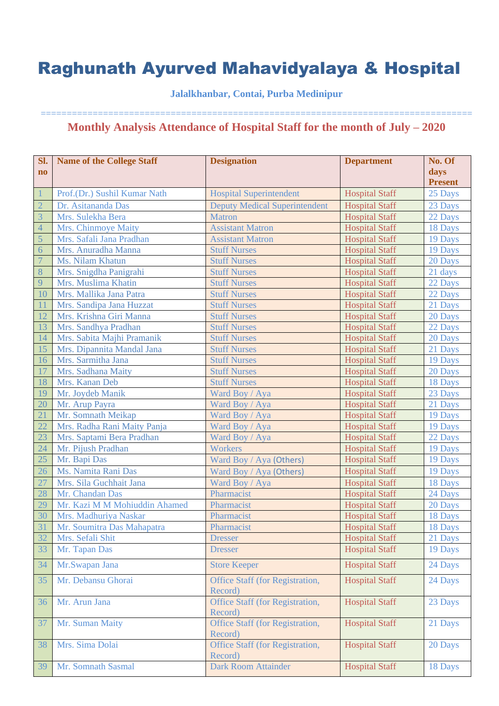### **Jalalkhanbar, Contai, Purba Medinipur**

| Sl.<br>$\bf{no}$ | <b>Name of the College Staff</b> | <b>Designation</b>                         | <b>Department</b>     | No. Of<br>days |
|------------------|----------------------------------|--------------------------------------------|-----------------------|----------------|
|                  |                                  |                                            |                       | <b>Present</b> |
| $\vert$ 1        | Prof.(Dr.) Sushil Kumar Nath     | <b>Hospital Superintendent</b>             | <b>Hospital Staff</b> | 25 Days        |
| $\overline{2}$   | Dr. Asitananda Das               | <b>Deputy Medical Superintendent</b>       | <b>Hospital Staff</b> | 23 Days        |
| $\overline{3}$   | Mrs. Sulekha Bera                | <b>Matron</b>                              | <b>Hospital Staff</b> | 22 Days        |
| $\overline{4}$   | Mrs. Chinmoye Maity              | <b>Assistant Matron</b>                    | <b>Hospital Staff</b> | 18 Days        |
| $\overline{5}$   | Mrs. Safali Jana Pradhan         | <b>Assistant Matron</b>                    | <b>Hospital Staff</b> | 19 Days        |
| $\overline{6}$   | Mrs. Anuradha Manna              | <b>Stuff Nurses</b>                        | <b>Hospital Staff</b> | 19 Days        |
| $\overline{7}$   | Ms. Nilam Khatun                 | <b>Stuff Nurses</b>                        | <b>Hospital Staff</b> | 20 Days        |
| 8                | Mrs. Snigdha Panigrahi           | <b>Stuff Nurses</b>                        | <b>Hospital Staff</b> | 21 days        |
| 9                | Mrs. Muslima Khatin              | <b>Stuff Nurses</b>                        | <b>Hospital Staff</b> | 22 Days        |
| 10               | Mrs. Mallika Jana Patra          | <b>Stuff Nurses</b>                        | <b>Hospital Staff</b> | 22 Days        |
| <sup>11</sup>    | Mrs. Sandipa Jana Huzzat         | <b>Stuff Nurses</b>                        | <b>Hospital Staff</b> | 21 Days        |
| 12               | Mrs. Krishna Giri Manna          | <b>Stuff Nurses</b>                        | <b>Hospital Staff</b> | 20 Days        |
| 13               | Mrs. Sandhya Pradhan             | <b>Stuff Nurses</b>                        | <b>Hospital Staff</b> | 22 Days        |
| 14               | Mrs. Sabita Majhi Pramanik       | <b>Stuff Nurses</b>                        | <b>Hospital Staff</b> | 20 Days        |
| 15               | Mrs. Dipannita Mandal Jana       | <b>Stuff Nurses</b>                        | <b>Hospital Staff</b> | 21 Days        |
| 16               | Mrs. Sarmitha Jana               | <b>Stuff Nurses</b>                        | <b>Hospital Staff</b> | 19 Days        |
| 17               | Mrs. Sadhana Maity               | <b>Stuff Nurses</b>                        | <b>Hospital Staff</b> | 20 Days        |
| 18               | Mrs. Kanan Deb                   | <b>Stuff Nurses</b>                        | <b>Hospital Staff</b> | 18 Days        |
| 19               | Mr. Joydeb Manik                 | Ward Boy / Aya                             | <b>Hospital Staff</b> | 23 Days        |
| 20               | Mr. Arup Payra                   | Ward Boy / Aya                             | <b>Hospital Staff</b> | 21 Days        |
| 21               | Mr. Somnath Meikap               | Ward Boy / Aya                             | <b>Hospital Staff</b> | 19 Days        |
| 22               | Mrs. Radha Rani Maity Panja      | Ward Boy / Aya                             | <b>Hospital Staff</b> | 19 Days        |
| 23               | Mrs. Saptami Bera Pradhan        | Ward Boy / Aya                             | <b>Hospital Staff</b> | 22 Days        |
| 24               | Mr. Pijush Pradhan               | <b>Workers</b>                             | <b>Hospital Staff</b> | 19 Days        |
| 25               | Mr. Bapi Das                     | Ward Boy / Aya (Others)                    | <b>Hospital Staff</b> | 19 Days        |
| 26               | Ms. Namita Rani Das              | Ward Boy / Aya (Others)                    | <b>Hospital Staff</b> | 19 Days        |
| 27               | Mrs. Sila Guchhait Jana          | Ward Boy / Aya                             | <b>Hospital Staff</b> | 18 Days        |
| 28               | Mr. Chandan Das                  | Pharmacist                                 | <b>Hospital Staff</b> | 24 Days        |
| 29               | Mr. Kazi M M Mohiuddin Ahamed    | Pharmacist                                 | <b>Hospital Staff</b> | 20 Days        |
| 30               | Mrs. Madhuriya Naskar            | Pharmacist                                 | <b>Hospital Staff</b> | 18 Days        |
| 31               | Mr. Soumitra Das Mahapatra       | Pharmacist                                 | <b>Hospital Staff</b> | 18 Days        |
| 32               | Mrs. Sefali Shit                 | <b>Dresser</b>                             | <b>Hospital Staff</b> | 21 Days        |
| 33               | Mr. Tapan Das                    | <b>Dresser</b>                             | <b>Hospital Staff</b> | 19 Days        |
|                  |                                  |                                            |                       |                |
| 34               | Mr.Swapan Jana                   | <b>Store Keeper</b>                        | <b>Hospital Staff</b> | 24 Days        |
| 35               | Mr. Debansu Ghorai               | Office Staff (for Registration,<br>Record) | <b>Hospital Staff</b> | 24 Days        |
| 36               | Mr. Arun Jana                    | Office Staff (for Registration,<br>Record) | <b>Hospital Staff</b> | 23 Days        |
| 37               | Mr. Suman Maity                  | Office Staff (for Registration,<br>Record) | <b>Hospital Staff</b> | 21 Days        |
| 38               | Mrs. Sima Dolai                  | Office Staff (for Registration,<br>Record) | <b>Hospital Staff</b> | 20 Days        |
| 39               | Mr. Somnath Sasmal               | <b>Dark Room Attainder</b>                 | <b>Hospital Staff</b> | 18 Days        |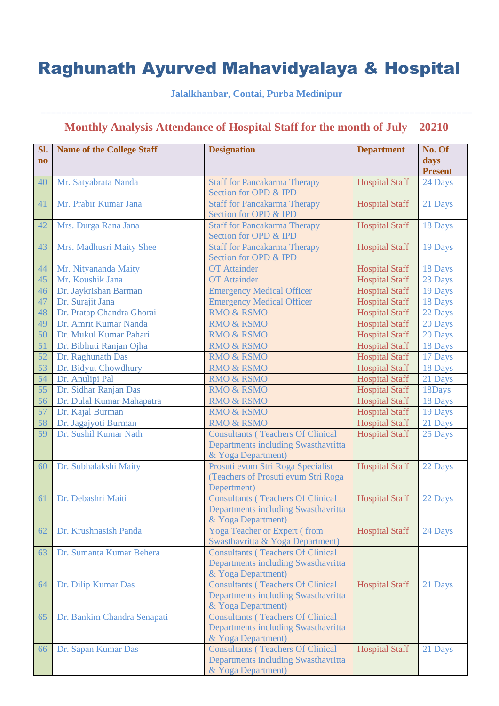### **Jalalkhanbar, Contai, Purba Medinipur**

| Sl.<br>$\mathbf{n}\mathbf{o}$ | <b>Name of the College Staff</b> | <b>Designation</b>                                                                                    | <b>Department</b>     | No. Of<br>days<br><b>Present</b> |
|-------------------------------|----------------------------------|-------------------------------------------------------------------------------------------------------|-----------------------|----------------------------------|
| 40                            | Mr. Satyabrata Nanda             | <b>Staff for Pancakarma Therapy</b><br>Section for OPD & IPD                                          | <b>Hospital Staff</b> | 24 Days                          |
| 41                            | Mr. Prabir Kumar Jana            | <b>Staff for Pancakarma Therapy</b><br>Section for OPD & IPD                                          | <b>Hospital Staff</b> | 21 Days                          |
| 42                            | Mrs. Durga Rana Jana             | <b>Staff for Pancakarma Therapy</b><br>Section for OPD & IPD                                          | <b>Hospital Staff</b> | 18 Days                          |
| 43                            | Mrs. Madhusri Maity Shee         | <b>Staff for Pancakarma Therapy</b><br>Section for OPD & IPD                                          | <b>Hospital Staff</b> | 19 Days                          |
| 44                            | Mr. Nityananda Maity             | <b>OT</b> Attainder                                                                                   | <b>Hospital Staff</b> | 18 Days                          |
| 45                            | Mr. Koushik Jana                 | <b>OT</b> Attainder                                                                                   | <b>Hospital Staff</b> | 23 Days                          |
| 46                            | Dr. Jaykrishan Barman            | <b>Emergency Medical Officer</b>                                                                      | <b>Hospital Staff</b> | 19 Days                          |
| 47                            | Dr. Surajit Jana                 | <b>Emergency Medical Officer</b>                                                                      | <b>Hospital Staff</b> | 18 Days                          |
| 48                            | Dr. Pratap Chandra Ghorai        | <b>RMO &amp; RSMO</b>                                                                                 | <b>Hospital Staff</b> | 22 Days                          |
| 49                            | Dr. Amrit Kumar Nanda            | <b>RMO &amp; RSMO</b>                                                                                 | <b>Hospital Staff</b> | 20 Days                          |
| 50                            | Dr. Mukul Kumar Pahari           | <b>RMO &amp; RSMO</b>                                                                                 | <b>Hospital Staff</b> | 20 Days                          |
| 51                            | Dr. Bibhuti Ranjan Ojha          | <b>RMO &amp; RSMO</b>                                                                                 | <b>Hospital Staff</b> | 18 Days                          |
| 52                            | Dr. Raghunath Das                | <b>RMO &amp; RSMO</b>                                                                                 | <b>Hospital Staff</b> | 17 Days                          |
| 53                            | Dr. Bidyut Chowdhury             | <b>RMO &amp; RSMO</b>                                                                                 | <b>Hospital Staff</b> | 18 Days                          |
| 54                            | Dr. Anulipi Pal                  | <b>RMO &amp; RSMO</b>                                                                                 | <b>Hospital Staff</b> | 21 Days                          |
| 55                            | Dr. Sidhar Ranjan Das            | <b>RMO &amp; RSMO</b>                                                                                 | <b>Hospital Staff</b> | 18Days                           |
| 56                            | Dr. Dulal Kumar Mahapatra        | <b>RMO &amp; RSMO</b>                                                                                 | <b>Hospital Staff</b> | 18 Days                          |
| 57                            | Dr. Kajal Burman                 | <b>RMO &amp; RSMO</b>                                                                                 | <b>Hospital Staff</b> | 19 Days                          |
| 58                            | Dr. Jagajyoti Burman             | <b>RMO &amp; RSMO</b>                                                                                 | <b>Hospital Staff</b> | 21 Days                          |
| 59                            | Dr. Sushil Kumar Nath            | <b>Consultants (Teachers Of Clinical</b><br>Departments including Swasthavritta<br>& Yoga Department) | <b>Hospital Staff</b> | 25 Days                          |
| 60                            | Dr. Subhalakshi Maity            | Prosuti evum Stri Roga Specialist<br>(Teachers of Prosuti evum Stri Roga<br>Depertment)               | <b>Hospital Staff</b> | 22 Days                          |
| 61                            | Dr. Debashri Maiti               | <b>Consultants (Teachers Of Clinical</b><br>Departments including Swasthavritta<br>& Yoga Department) | <b>Hospital Staff</b> | 22 Days                          |
| 62                            | Dr. Krushnasish Panda            | Yoga Teacher or Expert (from<br>Swasthavritta & Yoga Department)                                      | <b>Hospital Staff</b> | 24 Days                          |
| 63                            | Dr. Sumanta Kumar Behera         | <b>Consultants (Teachers Of Clinical</b><br>Departments including Swasthavritta<br>& Yoga Department) |                       |                                  |
| 64                            | Dr. Dilip Kumar Das              | <b>Consultants (Teachers Of Clinical</b><br>Departments including Swasthavritta<br>& Yoga Department) | <b>Hospital Staff</b> | 21 Days                          |
| 65                            | Dr. Bankim Chandra Senapati      | <b>Consultants (Teachers Of Clinical</b><br>Departments including Swasthavritta<br>& Yoga Department) |                       |                                  |
| 66                            | Dr. Sapan Kumar Das              | <b>Consultants (Teachers Of Clinical</b><br>Departments including Swasthavritta<br>& Yoga Department) | <b>Hospital Staff</b> | 21 Days                          |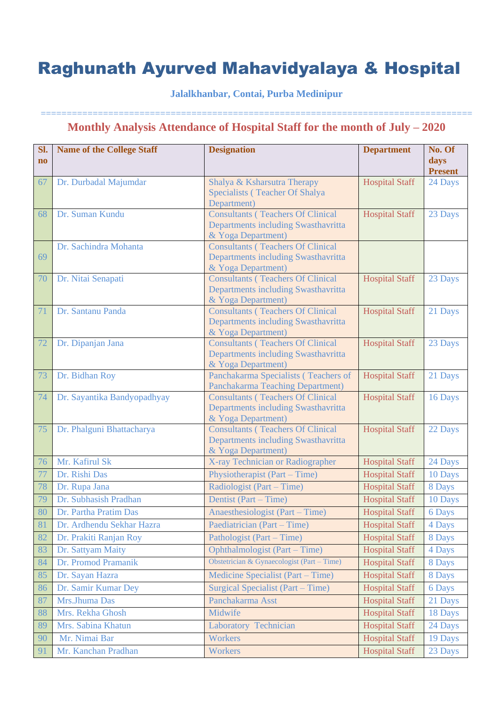### **Jalalkhanbar, Contai, Purba Medinipur**

| Sl.<br>$\mathbf{n}\mathbf{o}$ | Name of the College Staff   | <b>Designation</b>                                                                                    | <b>Department</b>     | No. Of<br>days<br><b>Present</b> |
|-------------------------------|-----------------------------|-------------------------------------------------------------------------------------------------------|-----------------------|----------------------------------|
| 67                            | Dr. Durbadal Majumdar       | Shalya & Ksharsutra Therapy<br>Specialists (Teacher Of Shalya<br>Department)                          | <b>Hospital Staff</b> | 24 Days                          |
| 68                            | Dr. Suman Kundu             | <b>Consultants (Teachers Of Clinical</b><br>Departments including Swasthavritta<br>& Yoga Department) | <b>Hospital Staff</b> | 23 Days                          |
| 69                            | Dr. Sachindra Mohanta       | <b>Consultants (Teachers Of Clinical</b><br>Departments including Swasthavritta<br>& Yoga Department) |                       |                                  |
| 70                            | Dr. Nitai Senapati          | <b>Consultants (Teachers Of Clinical</b><br>Departments including Swasthavritta<br>& Yoga Department) | <b>Hospital Staff</b> | 23 Days                          |
| 71                            | Dr. Santanu Panda           | <b>Consultants (Teachers Of Clinical</b><br>Departments including Swasthavritta<br>& Yoga Department) | <b>Hospital Staff</b> | 21 Days                          |
| 72                            | Dr. Dipanjan Jana           | <b>Consultants (Teachers Of Clinical</b><br>Departments including Swasthavritta<br>& Yoga Department) | <b>Hospital Staff</b> | 23 Days                          |
| 73                            | Dr. Bidhan Roy              | Panchakarma Specialists (Teachers of<br>Panchakarma Teaching Department)                              | <b>Hospital Staff</b> | 21 Days                          |
| 74                            | Dr. Sayantika Bandyopadhyay | <b>Consultants (Teachers Of Clinical</b><br>Departments including Swasthavritta<br>& Yoga Department) | <b>Hospital Staff</b> | 16 Days                          |
| 75                            | Dr. Phalguni Bhattacharya   | <b>Consultants (Teachers Of Clinical</b><br>Departments including Swasthavritta<br>& Yoga Department) | <b>Hospital Staff</b> | 22 Days                          |
| 76                            | Mr. Kafirul Sk              | X-ray Technician or Radiographer                                                                      | <b>Hospital Staff</b> | 24 Days                          |
| 77                            | Dr. Rishi Das               | Physiotherapist (Part – Time)                                                                         | <b>Hospital Staff</b> | 10 Days                          |
| 78                            | Dr. Rupa Jana               | Radiologist (Part – Time)                                                                             | <b>Hospital Staff</b> | 8 Days                           |
| 79                            | Dr. Subhasish Pradhan       | Dentist (Part – Time)                                                                                 | <b>Hospital Staff</b> | 10 Days                          |
| 80                            | Dr. Partha Pratim Das       | Anaesthesiologist (Part – Time)                                                                       | <b>Hospital Staff</b> | 6 Days                           |
| 81                            | Dr. Ardhendu Sekhar Hazra   | Paediatrician (Part – Time)                                                                           | <b>Hospital Staff</b> | 4 Days                           |
| 82                            | Dr. Prakiti Ranjan Roy      | Pathologist (Part – Time)                                                                             | <b>Hospital Staff</b> | 8 Days                           |
| 83                            | Dr. Sattyam Maity           | Ophthalmologist (Part – Time)                                                                         | <b>Hospital Staff</b> | 4 Days                           |
| 84                            | Dr. Promod Pramanik         | Obstetrician & Gynaecologist (Part - Time)                                                            | <b>Hospital Staff</b> | 8 Days                           |
| 85                            | Dr. Sayan Hazra             | Medicine Specialist (Part – Time)                                                                     | <b>Hospital Staff</b> | 8 Days                           |
| 86                            | Dr. Samir Kumar Dey         | Surgical Specialist (Part – Time)                                                                     | <b>Hospital Staff</b> | 6 Days                           |
| 87                            | Mrs.Jhuma Das               | Panchakarma Asst                                                                                      | <b>Hospital Staff</b> | 21 Days                          |
| 88                            | Mrs. Rekha Ghosh            | Midwife                                                                                               | <b>Hospital Staff</b> | 18 Days                          |
| 89                            | Mrs. Sabina Khatun          | Laboratory Technician                                                                                 | <b>Hospital Staff</b> | 24 Days                          |
| 90                            | Mr. Nimai Bar               | Workers                                                                                               | <b>Hospital Staff</b> | 19 Days                          |
| 91                            | Mr. Kanchan Pradhan         | Workers                                                                                               | <b>Hospital Staff</b> | 23 Days                          |